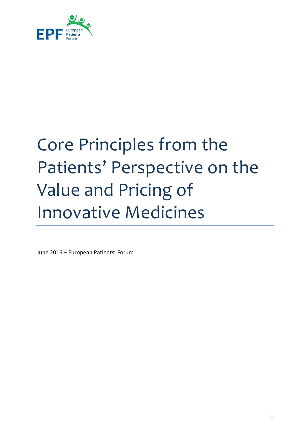

# <span id="page-0-0"></span>Core Principles from the Patients' Perspective on the Value and Pricing of Innovative Medicines

June 2016 – European Patients' Forum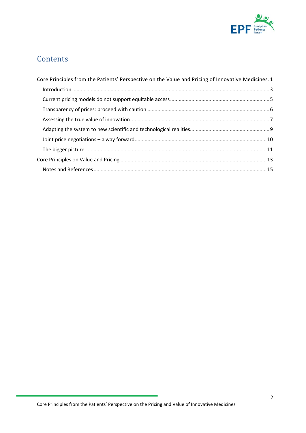

## **Contents**

| Core Principles from the Patients' Perspective on the Value and Pricing of Innovative Medicines. 1 |
|----------------------------------------------------------------------------------------------------|
|                                                                                                    |
|                                                                                                    |
|                                                                                                    |
|                                                                                                    |
|                                                                                                    |
|                                                                                                    |
|                                                                                                    |
|                                                                                                    |
|                                                                                                    |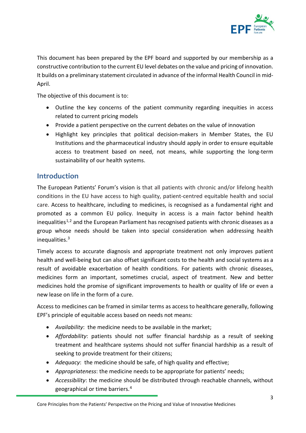

This document has been prepared by the EPF board and supported by our membership as a constructive contribution to the current EU level debates on the value and pricing of innovation. It builds on a preliminary statement circulated in advance of the informal Health Council in mid-April.

The objective of this document is to:

- Outline the key concerns of the patient community regarding inequities in access related to current pricing models
- Provide a patient perspective on the current debates on the value of innovation
- Highlight key principles that political decision-makers in Member States, the EU Institutions and the pharmaceutical industry should apply in order to ensure equitable access to treatment based on need, not means, while supporting the long-term sustainability of our health systems.

#### <span id="page-2-0"></span>**Introduction**

The European Patients' Forum's vision is that all patients with chronic and/or lifelong health conditions in the EU have access to high quality, patient-centred equitable health and social care. Access to healthcare, including to medicines, is recognised as a fundamental right and promoted as a common EU policy. Inequity in access is a main factor behind health inequalities<sup>[1,](#page-15-0)[2](#page-15-1)</sup> and the European Parliament has recognised patients with chronic diseases as a group whose needs should be taken into special consideration when addressing health inequalities.[3](#page-15-2)

Timely access to accurate diagnosis and appropriate treatment not only improves patient health and well-being but can also offset significant costs to the health and social systems as a result of avoidable exacerbation of health conditions. For patients with chronic diseases, medicines form an important, sometimes crucial, aspect of treatment. New and better medicines hold the promise of significant improvements to health or quality of life or even a new lease on life in the form of a cure.

Access to medicines can be framed in similar terms as access to healthcare generally, following EPF's principle of equitable access based on needs not means:

- *Availability*: the medicine needs to be available in the market;
- *Affordability*: patients should not suffer financial hardship as a result of seeking treatment and healthcare systems should not suffer financial hardship as a result of seeking to provide treatment for their citizens;
- *Adequacy*: the medicine should be safe, of high quality and effective;
- *Appropriateness*: the medicine needs to be appropriate for patients' needs;
- *Accessibility*: the medicine should be distributed through reachable channels, without geographical or time barriers.[4](#page-15-3)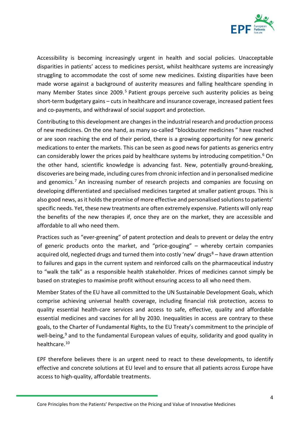

Accessibility is becoming increasingly urgent in health and social policies. Unacceptable disparities in patients' access to medicines persist, whilst healthcare systems are increasingly struggling to accommodate the cost of some new medicines. Existing disparities have been made worse against a background of austerity measures and falling healthcare spending in many Member States since 2009.<sup>[5](#page-15-4)</sup> Patient groups perceive such austerity policies as being short-term budgetary gains – cuts in healthcare and insurance coverage, increased patient fees and co-payments, and withdrawal of social support and protection.

Contributing to this development are changes in the industrial research and production process of new medicines. On the one hand, as many so-called "blockbuster medicines " have reached or are soon reaching the end of their period, there is a growing opportunity for new generic medications to enter the markets. This can be seen as good news for patients as generics entry can considerably lower the prices paid by healthcare systems by introducing competition. [6](#page-15-5) On the other hand, scientific knowledge is advancing fast. New, potentially ground-breaking, discoveries are being made, including cures from chronic infection and in personalised medicine and genomics.<sup>[7](#page-15-6)</sup> An increasing number of research projects and companies are focusing on developing differentiated and specialised medicines targeted at smaller patient groups. This is also good news, as it holds the promise of more effective and personalised solutions to patients' specific needs. Yet, these new treatments are often extremely expensive. Patients will only reap the benefits of the new therapies if, once they are on the market, they are accessible and affordable to all who need them.

Practices such as "ever-greening" of patent protection and deals to prevent or delay the entry of generic products onto the market, and "price-gouging" – whereby certain companies acquired old, neglected drugs and turned them into costly 'new' drugs $8 8 -$  have drawn attention to failures and gaps in the current system and reinforced calls on the pharmaceutical industry to "walk the talk" as a responsible health stakeholder. Prices of medicines cannot simply be based on strategies to maximise profit without ensuring access to all who need them.

Member States of the EU have all committed to the UN Sustainable Development Goals, which comprise achieving universal health coverage, including financial risk protection, access to quality essential health-care services and access to safe, effective, quality and affordable essential medicines and vaccines for all by 2030. Inequalities in access are contrary to these goals, to the Charter of Fundamental Rights, to the EU Treaty's commitment to the principle of well-being,<sup>[9](#page-15-8)</sup> and to the fundamental European values of equity, solidarity and good quality in healthcare.[10](#page-15-9) 

EPF therefore believes there is an urgent need to react to these developments, to identify effective and concrete solutions at EU level and to ensure that all patients across Europe have access to high-quality, affordable treatments.

Core Principles from the Patients' Perspective on the Pricing and Value of Innovative Medicines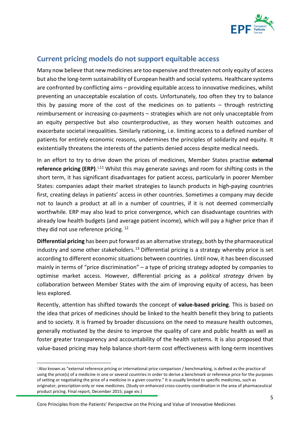

## <span id="page-4-0"></span>**Current pricing models do not support equitable access**

Many now believe that new medicines are too expensive and threaten not only equity of access but also the long-term sustainability of European health and social systems. Healthcare systems are confronted by conflicting aims – providing equitable access to innovative medicines, whilst preventing an unacceptable escalation of costs. Unfortunately, too often they try to balance this by passing more of the cost of the medicines on to patients – through restricting reimbursement or increasing co-payments – strategies which are not only unacceptable from an equity perspective but also counterproductive, as they worsen health outcomes and exacerbate societal inequalities. Similarly rationing, i.e. limiting access to a defined number of patients for entirely economic reasons, undermines the principles of solidarity and equity. It existentially threatens the interests of the patients denied access despite medical needs.

In an effort to try to drive down the prices of medicines, Member States practise **external**  reference pricing (ERP).<sup>[i,](#page-4-1)[11](#page-15-10)</sup> Whilst this may generate savings and room for shifting costs in the short term, it has significant disadvantages for patient access, particularly in poorer Member States: companies adapt their market strategies to launch products in high-paying countries first, creating delays in patients' access in other countries. Sometimes a company may decide not to launch a product at all in a number of countries, if it is not deemed commercially worthwhile. ERP may also lead to price convergence, which can disadvantage countries with already low health budgets (and average patient income), which will pay a higher price than if they did not use reference pricing. [12](#page-15-11)

**Differential pricing** has been put forward as an alternative strategy, both by the pharmaceutical industry and some other stakeholders.<sup>[13](#page-15-12)</sup> Differential pricing is a strategy whereby price is set according to different economic situations between countries. Until now, it has been discussed mainly in terms of "price discrimination" – a type of pricing strategy adopted by companies to optimise market access. However, differential pricing as a *political strategy* driven by collaboration between Member States with the aim of improving equity of access, has been less explored.

Recently, attention has shifted towards the concept of **value-based pricing**. This is based on the idea that prices of medicines should be linked to the health benefit they bring to patients and to society. It is framed by broader discussions on the need to measure health outcomes, generally motivated by the desire to improve the quality of care and public health as well as foster greater transparency and accountability of the health systems. It is also proposed that value-based pricing may help balance short-term cost effectiveness with long-term incentives

<span id="page-4-1"></span>i Also known as "external reference pricing or international price comparison / benchmarking, is defined as the practice of using the price(s) of a medicine in one or several countries in order to derive a benchmark or reference price for the purposes of setting or negotiating the price of a medicine in a given country." It is usually limited to specific medicines, such as originator, prescription-only or new medicines. (Study on enhanced cross-country coordination in the area of pharmaceutical product pricing. Final report, December 2015; page xiv.)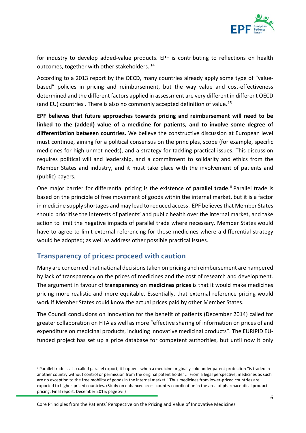

for industry to develop added-value products. EPF is contributing to reflections on health outcomes, together with other stakeholders. [14](#page-15-13)

According to a 2013 report by the OECD, many countries already apply some type of "valuebased" policies in pricing and reimbursement, but the way value and cost-effectiveness determined and the different factors applied in assessment are very different in different OECD (and EU) countries . There is also no commonly accepted definition of value.[15](#page-15-14)

**EPF believes that future approaches towards pricing and reimbursement will need to be linked to the (added) value of a medicine for patients, and to involve some degree of differentiation between countries.** We believe the constructive discussion at European level must continue, aiming for a political consensus on the principles, scope (for example, specific medicines for high unmet needs), and a strategy for tackling practical issues. This discussion requires political will and leadership, and a commitment to solidarity and ethics from the Member States and industry, and it must take place with the involvement of patients and (public) payers.

One major barrier for differential pricing is the existence of parallel trade.<sup>[ii](#page-5-1)</sup> Parallel trade is based on the principle of free movement of goods within the internal market, but it is a factor in medicine supply shortages and may lead to reduced access . EPF believes that Member States should prioritise the interests of patients' and public health over the internal market, and take action to limit the negative impacts of parallel trade where necessary. Member States would have to agree to limit external referencing for those medicines where a differential strategy would be adopted; as well as address other possible practical issues.

#### <span id="page-5-0"></span>**Transparency of prices: proceed with caution**

Many are concerned that national decisions taken on pricing and reimbursement are hampered by lack of transparency on the prices of medicines and the cost of research and development. The argument in favour of **transparency on medicines prices** is that it would make medicines pricing more realistic and more equitable. Essentially, that external reference pricing would work if Member States could know the actual prices paid by other Member States.

The Council conclusions on Innovation for the benefit of patients (December 2014) called for greater collaboration on HTA as well as more "effective sharing of information on prices of and expenditure on medicinal products, including innovative medicinal products". The EURIPID EUfunded project has set up a price database for competent authorities, but until now it only

<span id="page-5-1"></span>ii Parallel trade is also called parallel export; it happens when a medicine originally sold under patent protection "is traded in another country without control or permission from the original patent holder ... From a legal perspective, medicines as such are no exception to the free mobility of goods in the internal market." Thus medicines from lower-priced countries are exported to higher-priced countries. (Study on enhanced cross-country coordination in the area of pharmaceutical product pricing. Final report, December 2015; page xvii)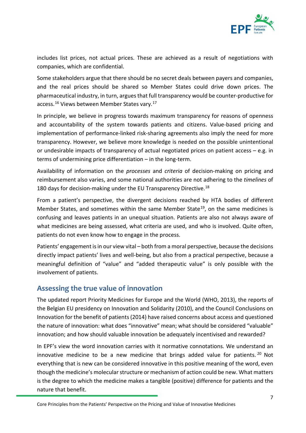

includes list prices, not actual prices. These are achieved as a result of negotiations with companies, which are confidential.

Some stakeholders argue that there should be no secret deals between payers and companies, and the real prices should be shared so Member States could drive down prices. The pharmaceutical industry, in turn, argues that full transparency would be counter-productive for access.<sup>[16](#page-15-15)</sup> Views between Member States vary.<sup>[17](#page-15-16)</sup>

In principle, we believe in progress towards maximum transparency for reasons of openness and accountability of the system towards patients and citizens. Value-based pricing and implementation of performance-linked risk-sharing agreements also imply the need for more transparency. However, we believe more knowledge is needed on the possible unintentional or undesirable impacts of transparency of actual negotiated prices on patient access – e.g. in terms of undermining price differentiation – in the long-term.

Availability of information on the *processes* and *criteria* of decision-making on pricing and reimbursement also varies, and some national authorities are not adhering to the *timelines* of [18](#page-15-17)0 days for decision-making under the EU Transparency Directive.<sup>18</sup>

From a patient's perspective, the divergent decisions reached by HTA bodies of different Member States, and sometimes within the same Member State<sup>[19](#page-15-18)</sup>, on the same medicines is confusing and leaves patients in an unequal situation. Patients are also not always aware of what medicines are being assessed, what criteria are used, and who is involved. Quite often, patients do not even know how to engage in the process.

Patients' engagement is in our view vital – both from a moral perspective, because the decisions directly impact patients' lives and well-being, but also from a practical perspective, because a meaningful definition of "value" and "added therapeutic value" is only possible with the involvement of patients.

#### <span id="page-6-0"></span>**Assessing the true value of innovation**

The updated report Priority Medicines for Europe and the World (WHO, 2013), the reports of the Belgian EU presidency on Innovation and Solidarity (2010), and the Council Conclusions on Innovation for the benefit of patients (2014) have raised concerns about access and questioned the nature of innovation: what does "innovative" mean; what should be considered "valuable" innovation; and how should valuable innovation be adequately incentivised and rewarded?

In EPF's view the word innovation carries with it normative connotations. We understand an innovative medicine to be a new medicine that brings added value for patients. <sup>[20](#page-15-19)</sup> Not everything that is new can be considered innovative in this positive meaning of the word, even though the medicine's molecular structure or mechanism of action could be new. What matters is the degree to which the medicine makes a tangible (positive) difference for patients and the nature that benefit.

Core Principles from the Patients' Perspective on the Pricing and Value of Innovative Medicines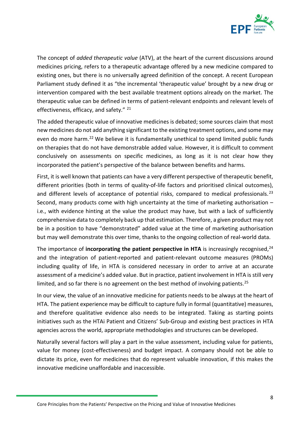

The concept of *added therapeutic value* (ATV), at the heart of the current discussions around medicines pricing, refers to a therapeutic advantage offered by a new medicine compared to existing ones, but there is no universally agreed definition of the concept. A recent European Parliament study defined it as "the incremental 'therapeutic value' brought by a new drug or intervention compared with the best available treatment options already on the market. The therapeutic value can be defined in terms of patient-relevant endpoints and relevant levels of effectiveness, efficacy, and safety." [21](#page-15-20)

The added therapeutic value of innovative medicines is debated; some sources claim that most new medicines do not add anything significant to the existing treatment options, and some may even do more harm.<sup>[22](#page-15-21)</sup> We believe it is fundamentally unethical to spend limited public funds on therapies that do not have demonstrable added value. However, it is difficult to comment conclusively on assessments on specific medicines, as long as it is not clear how they incorporated the patient's perspective of the balance between benefits and harms.

First, it is well known that patients can have a very different perspective of therapeutic benefit, different priorities (both in terms of quality-of-life factors and prioritised clinical outcomes), and different levels of acceptance of potential risks, compared to medical professionals.<sup>[23](#page-15-22)</sup> Second, many products come with high uncertainty at the time of marketing authorisation – i.e., with evidence hinting at the value the product may have, but with a lack of sufficiently comprehensive data to completely back up that estimation. Therefore, a given product may not be in a position to have "demonstrated" added value at the time of marketing authorisation but may well demonstrate this over time, thanks to the ongoing collection of real-world data.

The importance of **incorporating the patient perspective in HTA** is increasingly recognised,<sup>24</sup> and the integration of patient-reported and patient-relevant outcome measures (PROMs) including quality of life, in HTA is considered necessary in order to arrive at an accurate assessment of a medicine's added value. But in practice, patient involvement in HTA is still very limited, and so far there is no agreement on the best method of involving patients.<sup>25</sup>

In our view, the value of an innovative medicine for patients needs to be always at the heart of HTA. The patient experience may be difficult to capture fully in formal (quantitative) measures, and therefore qualitative evidence also needs to be integrated. Taking as starting points initiatives such as the HTAi Patient and Citizens' Sub-Group and existing best practices in HTA agencies across the world, appropriate methodologies and structures can be developed.

Naturally several factors will play a part in the value assessment, including value for patients, value for money (cost-effectiveness) and budget impact. A company should not be able to dictate its price, even for medicines that do represent valuable innovation, if this makes the innovative medicine unaffordable and inaccessible.

Core Principles from the Patients' Perspective on the Pricing and Value of Innovative Medicines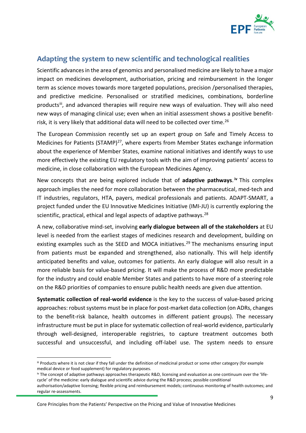

## <span id="page-8-0"></span>**Adapting the system to new scientific and technological realities**

Scientific advances in the area of genomics and personalised medicine are likely to have a major impact on medicines development, authorisation, pricing and reimbursement in the longer term as science moves towards more targeted populations, precision /personalised therapies, and predictive medicine. Personalised or stratified medicines, combinations, borderline productsii, and advanced therapies will require new ways of evaluation. They will also need new ways of managing clinical use; even when an initial assessment shows a positive benefit-risk, it is very likely that additional data will need to be collected over time.<sup>[26](#page-15-25)</sup>

The European Commission recently set up an expert group on Safe and Timely Access to Medicines for Patients (STAMP) $^{27}$  $^{27}$  $^{27}$ , where experts from Member States exchange information about the experience of Member States, examine national initiatives and identify ways to use more effectively the existing EU regulatory tools with the aim of improving patients' access to medicine, in close collaboration with the European Medicines Agency.

New concepts that are being explored include that of **adaptive pathways**. **[iv](#page-8-2)** This complex approach implies the need for more collaboration between the pharmaceutical, med-tech and IT industries, regulators, HTA, payers, medical professionals and patients. ADAPT-SMART, a project funded under the EU Innovative Medicines Initiative (IMI-JU) is currently exploring the scientific, practical, ethical and legal aspects of adaptive pathways.<sup>[28](#page-15-27)</sup>

A new, collaborative mind-set, involving **early dialogue between all of the stakeholders** at EU level is needed from the earliest stages of medicines research and development, building on existing examples such as the SEED and MOCA initiatives.<sup>[29](#page-15-28)</sup> The mechanisms ensuring input from patients must be expanded and strengthened, also nationally. This will help identify anticipated benefits and value, outcomes for patients. An early dialogue will also result in a more reliable basis for value-based pricing. It will make the process of R&D more predictable for the industry and could enable Member States and patients to have more of a steering role on the R&D priorities of companies to ensure public health needs are given due attention.

**Systematic collection of real-world evidence** is the key to the success of value-based pricing approaches: robust systems must be in place for post-market data collection (on ADRs, changes to the benefit-risk balance, health outcomes in different patient groups). The necessary infrastructure must be put in place for systematic collection of real-world evidence, particularly through well-designed, interoperable registries, to capture treatment outcomes both successful and unsuccessful, and including off-label use. The system needs to ensure

Core Principles from the Patients' Perspective on the Pricing and Value of Innovative Medicines

<span id="page-8-1"></span>iii Products where it is not clear if they fall under the definition of medicinal product or some other category (for example medical device or food supplement) for regulatory purposes.

<span id="page-8-2"></span>iv The concept of adaptive pathways approaches therapeutic R&D, licensing and evaluation as one continuum over the 'lifecycle' of the medicine: early dialogue and scientific advice during the R&D process; possible conditional authorisation/adaptive licensing; flexible pricing and reimbursement models; continuous monitoring of health outcomes; and regular re-assessments.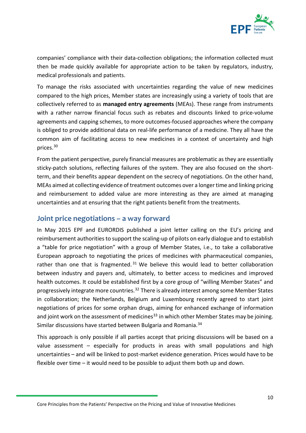

companies' compliance with their data-collection obligations; the information collected must then be made quickly available for appropriate action to be taken by regulators, industry, medical professionals and patients.

To manage the risks associated with uncertainties regarding the value of new medicines compared to the high prices, Member states are increasingly using a variety of tools that are collectively referred to as **managed entry agreements** (MEAs). These range from instruments with a rather narrow financial focus such as rebates and discounts linked to price-volume agreements and capping schemes, to more outcomes-focused approaches where the company is obliged to provide additional data on real-life performance of a medicine. They all have the common aim of facilitating access to new medicines in a context of uncertainty and high prices.[30](#page-15-29)

From the patient perspective, purely financial measures are problematic as they are essentially sticky-patch solutions, reflecting failures of the system. They are also focused on the shortterm, and their benefits appear dependent on the secrecy of negotiations. On the other hand, MEAs aimed at collecting evidence of treatment outcomes over a longer time and linking pricing and reimbursement to added value are more interesting as they are aimed at managing uncertainties and at ensuring that the right patients benefit from the treatments.

#### <span id="page-9-0"></span>**Joint price negotiations – a way forward**

In May 2015 EPF and EURORDIS published a joint letter calling on the EU's pricing and reimbursement authorities to support the scaling-up of pilots on early dialogue and to establish a "table for price negotiation" with a group of Member States, i.e., to take a collaborative European approach to negotiating the prices of medicines with pharmaceutical companies, rather than one that is fragmented.<sup>[31](#page-15-30)</sup> We believe this would lead to better collaboration between industry and payers and, ultimately, to better access to medicines and improved health outcomes. It could be established first by a core group of "willing Member States" and progressively integrate more countries.[32](#page-15-31) There is already interest among some Member States in collaboration; the Netherlands, Belgium and Luxembourg recently agreed to start joint negotiations of prices for some orphan drugs, aiming for enhanced exchange of information and joint work on the assessment of medicines<sup>33</sup> in which other Member States may be joining. Similar discussions have started between Bulgaria and Romania.<sup>[34](#page-15-33)</sup>

This approach is only possible if all parties accept that pricing discussions will be based on a value assessment – especially for products in areas with small populations and high uncertainties – and will be linked to post-market evidence generation. Prices would have to be flexible over time – it would need to be possible to adjust them both up and down.

Core Principles from the Patients' Perspective on the Pricing and Value of Innovative Medicines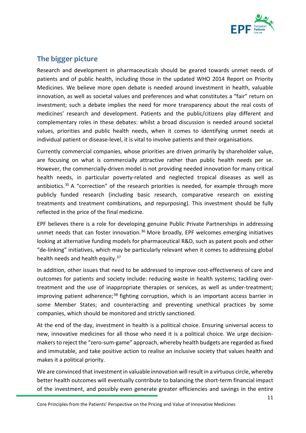

## <span id="page-10-0"></span>**The bigger picture**

Research and development in pharmaceuticals should be geared towards unmet needs of patients and of public health, including those in the updated WHO 2014 Report on Priority Medicines. We believe more open debate is needed around investment in health, valuable innovation, as well as societal values and preferences and what constitutes a "fair" return on investment; such a debate implies the need for more transparency about the real costs of medicines' research and development. Patients and the public/citizens play different and complementary roles in these debates: whilst a broad discussion is needed around societal values, priorities and public health needs, when it comes to identifying unmet needs at individual patient or disease-level, it is vital to involve patients and their organisations.

Currently commercial companies, whose priorities are driven primarily by shareholder value, are focusing on what is commercially attractive rather than public health needs per se. However, the commercially-driven model is not providing needed innovation for many critical health needs, in particular poverty-related and neglected tropical diseases as well as antibiotics.<sup>[35](#page-15-34)</sup> A "correction" of the research priorities is needed, for example through more publicly funded research (including basic research, comparative research on existing treatments and treatment combinations, and repurposing). This investment should be fully reflected in the price of the final medicine.

EPF believes there is a role for developing genuine Public Private Partnerships in addressing unmet needs that can foster innovation.<sup>[36](#page-15-35)</sup> More broadly, EPF welcomes emerging initiatives looking at alternative funding models for pharmaceutical R&D, such as patent pools and other "de-linking" initiatives, which may be particularly relevant when it comes to addressing global health needs and health equity. $37$ 

In addition, other issues that need to be addressed to improve cost-effectiveness of care and outcomes for patients and society include: reducing waste in health systems; tackling overtreatment and the use of inappropriate therapies or services, as well as under-treatment; improving patient adherence;<sup>[38](#page-15-37)</sup> fighting corruption, which is an important access barrier in some Member States; and counteracting and preventing unethical practices by some companies, which should be monitored and strictly sanctioned.

At the end of the day, investment in health is a political choice. Ensuring universal access to new, innovative medicines for all those who need it is a political choice. We urge decisionmakers to reject the "zero-sum-game" approach, whereby health budgets are regarded as fixed and immutable, and take positive action to realise an inclusive society that values health and makes it a political priority.

We are convinced that investment in valuable innovation will result in a virtuous circle, whereby better health outcomes will eventually contribute to balancing the short-term financial impact of the investment, and possibly even generate greater efficiencies and savings in the entire

Core Principles from the Patients' Perspective on the Pricing and Value of Innovative Medicines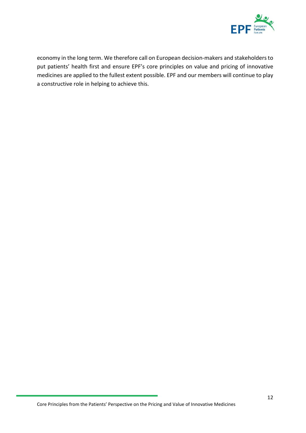

economy in the long term. We therefore call on European decision-makers and stakeholders to put patients' health first and ensure EPF's core principles on value and pricing of innovative medicines are applied to the fullest extent possible. EPF and our members will continue to play a constructive role in helping to achieve this.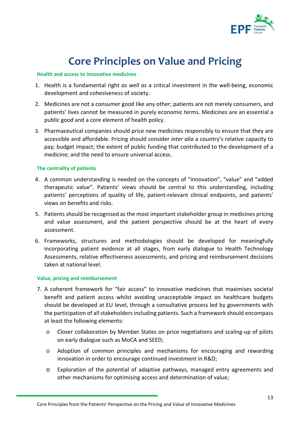

## **Core Principles on Value and Pricing**

#### <span id="page-12-0"></span>**Health and access to innovative medicines**

- 1. Health is a fundamental right *as well as* a critical investment in the well-being, economic development and cohesiveness of society.
- 2. Medicines are not a consumer good like any other; patients are not merely consumers, and patients' lives cannot be measured in purely economic terms. Medicines are an essential a public good and a core element of health policy.
- 3. Pharmaceutical companies should price new medicines responsibly to ensure that they are accessible and affordable. Pricing should consider *inter alia* a country's relative capacity to pay; budget impact; the extent of public funding that contributed to the development of a medicine; and the need to ensure universal access.

#### **The centrality of patients**

- 4. A common understanding is needed on the concepts of "innovation", "value" and "added therapeutic value". Patients' views should be central to this understanding, including patients' perceptions of quality of life, patient-relevant clinical endpoints, and patients' views on benefits and risks.
- 5. Patients should be recognised as the most important stakeholder group in medicines pricing and value assessment, and the patient perspective should be at the heart of every assessment.
- 6. Frameworks, structures and methodologies should be developed for meaningfully incorporating patient evidence at all stages, from early dialogue to Health Technology Assessments, relative effectiveness assessments, and pricing and reimbursement decisions taken at national level.

#### **Value, pricing and reimbursement**

- 7. A coherent framework for "fair access" to innovative medicines that maximises societal benefit and patient access whilst avoiding unacceptable impact on healthcare budgets should be developed at EU level, through a consultative process led by governments with the participation of all stakeholders including patients. Such a framework should encompass at least the following elements:
	- o Closer collaboration by Member States on price negotiations and scaling-up of pilots on early dialogue such as MoCA and SEED;
	- o Adoption of common principles and mechanisms for encouraging and rewarding innovation in order to encourage continued investment in R&D;
	- o Exploration of the potential of adaptive pathways, managed entry agreements and other mechanisms for optimising access and determination of value;

Core Principles from the Patients' Perspective on the Pricing and Value of Innovative Medicines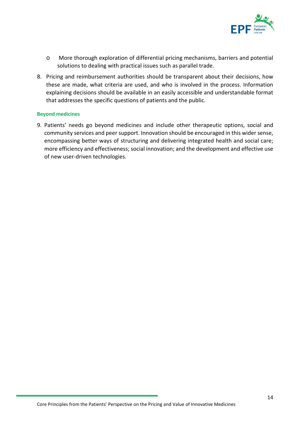

- o More thorough exploration of differential pricing mechanisms, barriers and potential solutions to dealing with practical issues such as parallel trade.
- 8. Pricing and reimbursement authorities should be transparent about their decisions, how these are made, what criteria are used, and who is involved in the process. Information explaining decisions should be available in an easily accessible and understandable format that addresses the specific questions of patients and the public.

#### **Beyond medicines**

9. Patients' needs go beyond medicines and include other therapeutic options, social and community services and peer support. Innovation should be encouraged in this wider sense, encompassing better ways of structuring and delivering integrated health and social care; more efficiency and effectiveness; social innovation; and the development and effective use of new user-driven technologies.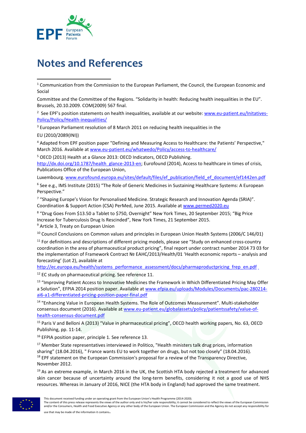

# <span id="page-14-0"></span>**Notes and References**

 $1$  Communication from the Commission to the European Parliament, the Council, the European Economic and Social

Committee and the Committee of the Regions. "Solidarity in health: Reducing health inequalities in the EU". Brussels, 20.10.2009. COM(2009) 567 final.

<sup>2</sup> See EPF's position statements on health inequalities, available at our website: **www.eu-patient.eu/Initatives-**[Policy/Policy/Health-inequalities/](http://www.eu-patient.eu/Initatives-Policy/Policy/Health-inequalities/) 

<sup>3</sup> European Parliament resolution of 8 March 2011 on reducing health inequalities in the

EU (2010/2089(INI))

**.** 

<sup>4</sup> Adapted from EPF position paper "Defining and Measuring Access to Healthcare: the Patients' Perspective," March 2016. Available at [www.eu-patient.eu/whatwedo/Policy/access-to-healthcare/](http://www.eu-patient.eu/whatwedo/Policy/access-to-healthcare/)

<sup>5</sup> OECD (2013) Health at a Glance 2013: OECD Indicators, OECD Publishing.

[http://dx.doi.org/10.1787/health\\_glance-2013-en;](http://dx.doi.org/10.1787/health_glance-2013-en) Eurofound (2014), Access to healthcare in times of crisis, Publications Office of the European Union,

Luxembourg[. www.eurofound.europa.eu/sites/default/files/ef\\_publication/field\\_ef\\_document/ef1442en.pdf](http://www.eurofound.europa.eu/sites/default/files/ef_publication/field_ef_document/ef1442en.pdf)

<sup>6</sup> See e.g., IMS Institute (2015) "The Role of Generic Medicines in Sustaining Healthcare Systems: A European Perspective."

<sup>7</sup> "Shaping Europe's Vision for Personalised Medicine. Strategic Research and Innovation Agenda (SRIA)". Coordination & Support Action (CSA) PerMed, June 2015. Available a[t www.permed2020.eu](http://www.permed2020.eu/)

<sup>8</sup> "Drug Goes From \$13.50 a Tablet to \$750, Overnight" New York Times, 20 September 2015; "Big Price Increase for Tuberculosis Drug Is Rescinded", New York Times, 21 September 2015.<br><sup>9</sup> Article 3, Treaty on European Union

<sup>10</sup> Council Conclusions on Common values and principles in European Union Health Systems (2006/C 146/01)

<sup>11</sup> For definitions and descriptions of different pricing models, please see "Study on enhanced cross-country coordination in the area of pharmaceutical product pricing", final report under contract number 2014 73 03 for the implementation of Framework Contract № EAHC/2013/Health/01 'Health economic reports – analysis and forecasting' (Lot 2), available at

[http://ec.europa.eu/health/systems\\_performance\\_assessment/docs/pharmaproductpricing\\_frep\\_en.pdf](http://ec.europa.eu/health/systems_performance_assessment/docs/pharmaproductpricing_frep_en.pdf)

<sup>12</sup> EC study on pharmaceutical pricing. See reference 11.

<sup>13</sup> "Improving Patient Access to Innovative Medicines the Framework in Which Differentiated Pricing May Offer a Solution", EFPIA 2014 position paper. Available a[t www.efpia.eu/uploads/Modules/Documents/pac-280214](http://www.efpia.eu/uploads/Modules/Documents/pac-280214-ai6-a1-differentiated-pricing-position-paper-final.pdf) [ai6-a1-differentiated-pricing-position-paper-final.pdf](http://www.efpia.eu/uploads/Modules/Documents/pac-280214-ai6-a1-differentiated-pricing-position-paper-final.pdf) 

<sup>14</sup> "Enhancing Value in European Health Systems. The Role of Outcomes Measurement". Multi-stakeholder consensus document (2016). Available at [www.eu-patient.eu/globalassets/policy/patientssafety/value-of](http://www.eu-patient.eu/globalassets/policy/patientssafety/value-of-health-consensus-document.pdf)[health-consensus-document.pdf](http://www.eu-patient.eu/globalassets/policy/patientssafety/value-of-health-consensus-document.pdf)

<sup>15</sup> Paris V and Belloni A (2013) "Value in pharmaceutical pricing", OECD health working papers, No. 63, OECD Publishing, pp. 11-14.

<sup>16</sup> EFPIA position paper, principle 1. See reference 13.

<sup>17</sup> Member State representatives interviewed in Politico, "Health ministers talk drug prices, information sharing" (18.04.2016), " France wants EU to work together on drugs, but not too closely" (18.04.2016). <sup>18</sup> EPF statement on the European Commission's proposal for a review of the Transparency Directive, November 2012.

<sup>19</sup> As an extreme example, in March 2016 in the UK, the Scottish HTA body rejected a treatment for advanced skin cancer because of uncertainty around the long-term benefits, considering it not a good use of NHS resources. Whereas in January of 2016, NICE (the HTA body in England) had approved the same treatment.



The content of this press release represents the views of the author only and is his/her sole responsibility; it cannot be considered to reflect the views of the European Commission and/or the Consumers, Health and Food Executive Agency or any other body of the European Union. The European Commission and the Agency do not accept any responsibility for